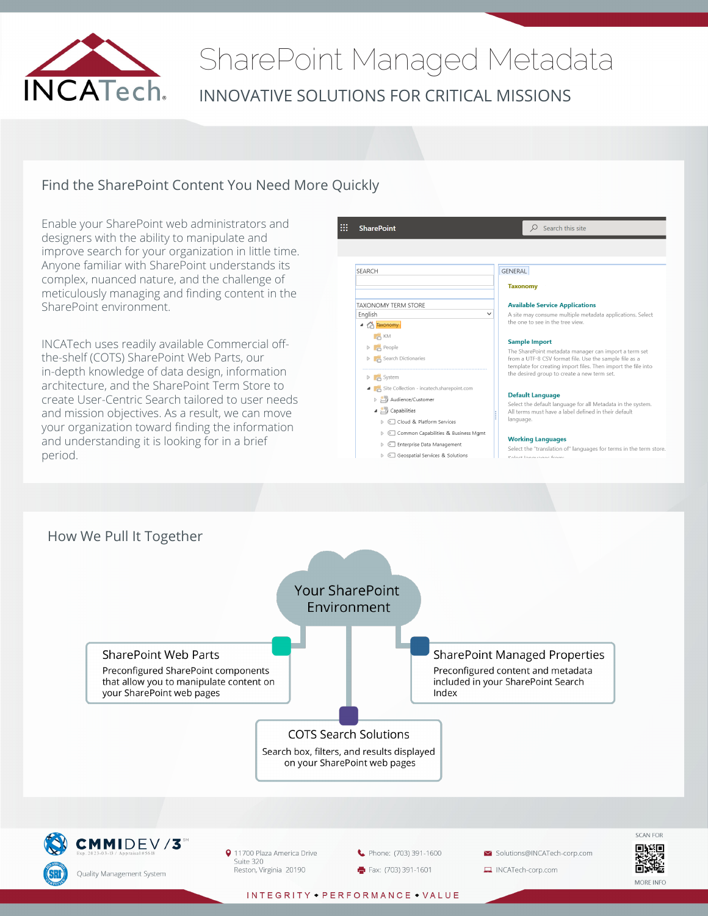

# SharePoint Managed Metadata INNOVATIVE SOLUTIONS FOR CRITICAL MISSIONS

### Find the SharePoint Content You Need More Quickly

Enable your SharePoint web administrators and designers with the ability to manipulate and improve search for your organization in little time. Anyone familiar with SharePoint understands its complex, nuanced nature, and the challenge of meticulously managing and finding content in the SharePoint environment.

INCATech uses readily available Commercial offthe-shelf (COTS) SharePoint Web Parts, our in-depth knowledge of data design, information architecture, and the SharePoint Term Store to create User-Centric Search tailored to user needs and mission objectives. As a result, we can move your organization toward finding the information and understanding it is looking for in a brief period.



- > © Geospatial Services & Solutions
	-

Select the "translation of" languages for terms in the term store.